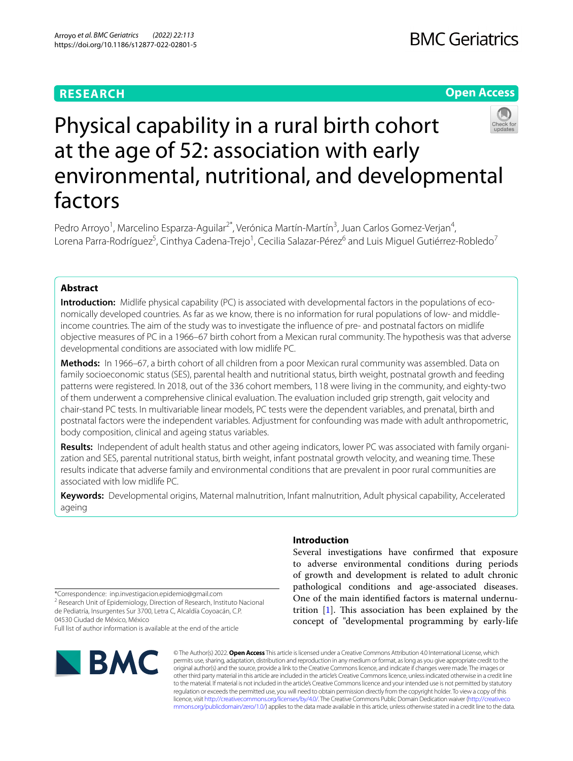# **RESEARCH**

# **Open Access**



# Physical capability in a rural birth cohort at the age of 52: association with early environmental, nutritional, and developmental factors

Pedro Arroyo<sup>1</sup>, Marcelino Esparza-Aguilar<sup>2\*</sup>, Verónica Martín-Martín<sup>3</sup>, Juan Carlos Gomez-Verjan<sup>4</sup>, Lorena Parra-Rodríguez<sup>5</sup>, Cinthya Cadena-Trejo<sup>1</sup>, Cecilia Salazar-Pérez<sup>6</sup> and Luis Miguel Gutiérrez-Robledo<sup>7</sup>

# **Abstract**

**Introduction:** Midlife physical capability (PC) is associated with developmental factors in the populations of economically developed countries. As far as we know, there is no information for rural populations of low- and middleincome countries. The aim of the study was to investigate the infuence of pre- and postnatal factors on midlife objective measures of PC in a 1966–67 birth cohort from a Mexican rural community. The hypothesis was that adverse developmental conditions are associated with low midlife PC.

**Methods:** In 1966–67, a birth cohort of all children from a poor Mexican rural community was assembled. Data on family socioeconomic status (SES), parental health and nutritional status, birth weight, postnatal growth and feeding patterns were registered. In 2018, out of the 336 cohort members, 118 were living in the community, and eighty-two of them underwent a comprehensive clinical evaluation. The evaluation included grip strength, gait velocity and chair-stand PC tests. In multivariable linear models, PC tests were the dependent variables, and prenatal, birth and postnatal factors were the independent variables. Adjustment for confounding was made with adult anthropometric, body composition, clinical and ageing status variables.

Results: Independent of adult health status and other ageing indicators, lower PC was associated with family organization and SES, parental nutritional status, birth weight, infant postnatal growth velocity, and weaning time. These results indicate that adverse family and environmental conditions that are prevalent in poor rural communities are associated with low midlife PC.

**Keywords:** Developmental origins, Maternal malnutrition, Infant malnutrition, Adult physical capability, Accelerated ageing

\*Correspondence: inp.investigacion.epidemio@gmail.com

<sup>2</sup> Research Unit of Epidemiology, Direction of Research, Instituto Nacional de Pediatría, Insurgentes Sur 3700, Letra C, Alcaldía Coyoacán, C.P. 04530 Ciudad de México, México

Full list of author information is available at the end of the article



# **Introduction**

Several investigations have confrmed that exposure to adverse environmental conditions during periods of growth and development is related to adult chronic pathological conditions and age-associated diseases. One of the main identifed factors is maternal undernutrition  $[1]$  $[1]$  $[1]$ . This association has been explained by the concept of "developmental programming by early-life

© The Author(s) 2022. **Open Access** This article is licensed under a Creative Commons Attribution 4.0 International License, which permits use, sharing, adaptation, distribution and reproduction in any medium or format, as long as you give appropriate credit to the original author(s) and the source, provide a link to the Creative Commons licence, and indicate if changes were made. The images or other third party material in this article are included in the article's Creative Commons licence, unless indicated otherwise in a credit line to the material. If material is not included in the article's Creative Commons licence and your intended use is not permitted by statutory regulation or exceeds the permitted use, you will need to obtain permission directly from the copyright holder. To view a copy of this licence, visit [http://creativecommons.org/licenses/by/4.0/.](http://creativecommons.org/licenses/by/4.0/) The Creative Commons Public Domain Dedication waiver ([http://creativeco](http://creativecommons.org/publicdomain/zero/1.0/) [mmons.org/publicdomain/zero/1.0/](http://creativecommons.org/publicdomain/zero/1.0/)) applies to the data made available in this article, unless otherwise stated in a credit line to the data.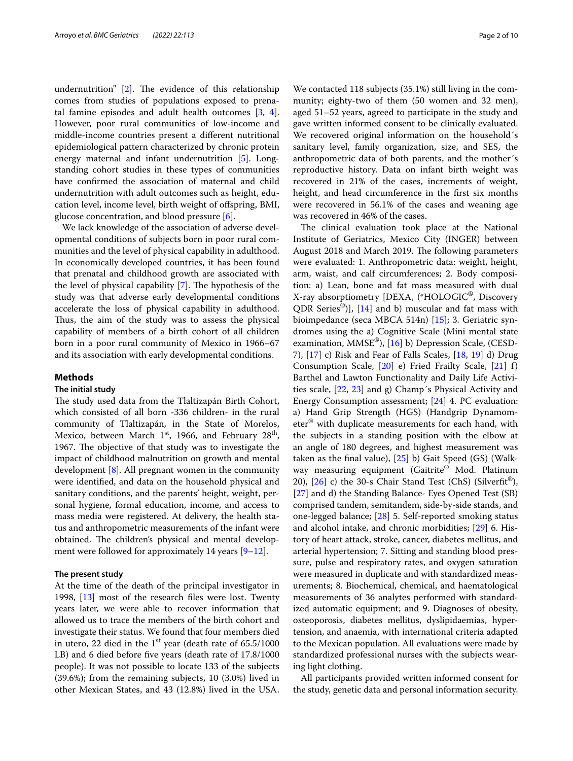undernutrition"  $[2]$  $[2]$  $[2]$ . The evidence of this relationship comes from studies of populations exposed to prenatal famine episodes and adult health outcomes [\[3](#page-8-2), [4](#page-8-3)]. However, poor rural communities of low-income and middle-income countries present a diferent nutritional epidemiological pattern characterized by chronic protein energy maternal and infant undernutrition [[5](#page-8-4)]. Longstanding cohort studies in these types of communities have confrmed the association of maternal and child undernutrition with adult outcomes such as height, education level, income level, birth weight of ofspring, BMI, glucose concentration, and blood pressure [\[6](#page-8-5)].

We lack knowledge of the association of adverse developmental conditions of subjects born in poor rural communities and the level of physical capability in adulthood. In economically developed countries, it has been found that prenatal and childhood growth are associated with the level of physical capability  $[7]$  $[7]$ . The hypothesis of the study was that adverse early developmental conditions accelerate the loss of physical capability in adulthood. Thus, the aim of the study was to assess the physical capability of members of a birth cohort of all children born in a poor rural community of Mexico in 1966–67 and its association with early developmental conditions.

## **Methods**

## **The initial study**

The study used data from the Tlaltizapán Birth Cohort, which consisted of all born -336 children- in the rural community of Tlaltizapán, in the State of Morelos, Mexico, between March  $1<sup>st</sup>$ , 1966, and February 28<sup>th</sup>, 1967. The objective of that study was to investigate the impact of childhood malnutrition on growth and mental development [[8\]](#page-8-7). All pregnant women in the community were identifed, and data on the household physical and sanitary conditions, and the parents' height, weight, personal hygiene, formal education, income, and access to mass media were registered. At delivery, the health status and anthropometric measurements of the infant were obtained. The children's physical and mental develop-ment were followed for approximately 14 years [[9–](#page-8-8)[12\]](#page-8-9).

## **The present study**

At the time of the death of the principal investigator in 1998, [[13\]](#page-8-10) most of the research fles were lost. Twenty years later, we were able to recover information that allowed us to trace the members of the birth cohort and investigate their status. We found that four members died in utero, 22 died in the  $1<sup>st</sup>$  year (death rate of 65.5/1000 LB) and 6 died before fve years (death rate of 17.8/1000 people). It was not possible to locate 133 of the subjects (39.6%); from the remaining subjects, 10 (3.0%) lived in other Mexican States, and 43 (12.8%) lived in the USA.

We contacted 118 subjects (35.1%) still living in the community; eighty-two of them (50 women and 32 men), aged 51–52 years, agreed to participate in the study and gave written informed consent to be clinically evaluated. We recovered original information on the household´s sanitary level, family organization, size, and SES, the anthropometric data of both parents, and the mother´s reproductive history. Data on infant birth weight was recovered in 21% of the cases, increments of weight, height, and head circumference in the frst six months were recovered in 56.1% of the cases and weaning age was recovered in 46% of the cases.

The clinical evaluation took place at the National Institute of Geriatrics, Mexico City (INGER) between August 2018 and March 2019. The following parameters were evaluated: 1. Anthropometric data: weight, height, arm, waist, and calf circumferences; 2. Body composition: a) Lean, bone and fat mass measured with dual X-ray absorptiometry [DEXA, (\*HOLOGIC®, Discovery QDR Series<sup>®</sup>)], [\[14](#page-8-11)] and b) muscular and fat mass with bioimpedance (seca MBCA 514n) [[15\]](#page-8-12); 3. Geriatric syndromes using the a) Cognitive Scale (Mini mental state examination, MMSE®), [[16\]](#page-8-13) b) Depression Scale, (CESD-7), [\[17](#page-8-14)] c) Risk and Fear of Falls Scales, [\[18](#page-8-15), [19\]](#page-8-16) d) Drug Consumption Scale, [[20](#page-8-17)] e) Fried Frailty Scale, [[21\]](#page-8-18) f) Barthel and Lawton Functionality and Daily Life Activities scale, [\[22](#page-8-19), [23](#page-8-20)] and g) Champ´s Physical Activity and Energy Consumption assessment; [\[24\]](#page-8-21) 4. PC evaluation: a) Hand Grip Strength (HGS) (Handgrip Dynamometer® with duplicate measurements for each hand, with the subjects in a standing position with the elbow at an angle of 180 degrees, and highest measurement was taken as the fnal value), [\[25](#page-8-22)] b) Gait Speed (GS) (Walkway measuring equipment (Gaitrite® Mod. Platinum 20),  $[26]$  $[26]$  c) the 30-s Chair Stand Test (ChS) (Silverfit<sup>®</sup>), [[27\]](#page-8-24) and d) the Standing Balance- Eyes Opened Test (SB) comprised tandem, semitandem, side-by-side stands, and one-legged balance; [[28](#page-8-25)] 5. Self-reported smoking status and alcohol intake, and chronic morbidities; [\[29](#page-8-26)] 6. History of heart attack, stroke, cancer, diabetes mellitus, and arterial hypertension; 7. Sitting and standing blood pressure, pulse and respiratory rates, and oxygen saturation were measured in duplicate and with standardized measurements; 8. Biochemical, chemical, and haematological measurements of 36 analytes performed with standardized automatic equipment; and 9. Diagnoses of obesity, osteoporosis, diabetes mellitus, dyslipidaemias, hypertension, and anaemia, with international criteria adapted to the Mexican population. All evaluations were made by standardized professional nurses with the subjects wearing light clothing.

All participants provided written informed consent for the study, genetic data and personal information security.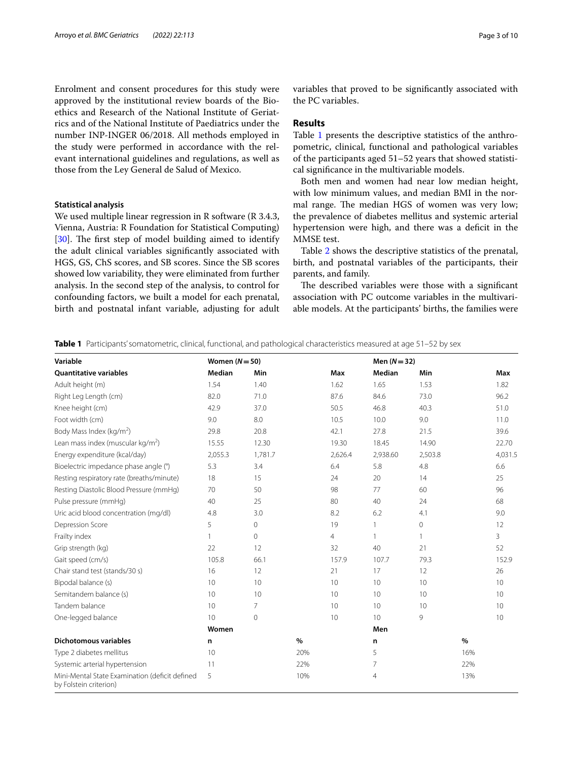Enrolment and consent procedures for this study were approved by the institutional review boards of the Bioethics and Research of the National Institute of Geriatrics and of the National Institute of Paediatrics under the number INP-INGER 06/2018. All methods employed in the study were performed in accordance with the relevant international guidelines and regulations, as well as those from the Ley General de Salud of Mexico.

# **Statistical analysis**

We used multiple linear regression in R software (R 3.4.3, Vienna, Austria: R Foundation for Statistical Computing) [ $30$ ]. The first step of model building aimed to identify the adult clinical variables signifcantly associated with HGS, GS, ChS scores, and SB scores. Since the SB scores showed low variability, they were eliminated from further analysis. In the second step of the analysis, to control for confounding factors, we built a model for each prenatal, birth and postnatal infant variable, adjusting for adult variables that proved to be signifcantly associated with the PC variables.

# **Results**

Table [1](#page-2-0) presents the descriptive statistics of the anthropometric, clinical, functional and pathological variables of the participants aged 51–52 years that showed statistical signifcance in the multivariable models.

Both men and women had near low median height, with low minimum values, and median BMI in the normal range. The median HGS of women was very low; the prevalence of diabetes mellitus and systemic arterial hypertension were high, and there was a deficit in the MMSE test.

Table [2](#page-3-0) shows the descriptive statistics of the prenatal, birth, and postnatal variables of the participants, their parents, and family.

The described variables were those with a significant association with PC outcome variables in the multivariable models. At the participants' births, the families were

<span id="page-2-0"></span>**Table 1** Participants' somatometric, clinical, functional, and pathological characteristics measured at age 51–52 by sex

| Variable                                                                 | Women $(N=50)$ |              |      |                | Men $(N = 32)$ |              |      |         |
|--------------------------------------------------------------------------|----------------|--------------|------|----------------|----------------|--------------|------|---------|
| <b>Ouantitative variables</b>                                            | Median         | Min          |      | Max            | Median         | Min          |      | Max     |
| Adult height (m)                                                         | 1.54           | 1.40         |      | 1.62           | 1.65           | 1.53         |      | 1.82    |
| Right Leg Length (cm)                                                    | 82.0           | 71.0         |      | 87.6           | 84.6           | 73.0         |      | 96.2    |
| Knee height (cm)                                                         | 42.9           | 37.0         |      | 50.5           | 46.8           | 40.3         |      | 51.0    |
| Foot width (cm)                                                          | 9.0            | 8.0          |      | 10.5           | 10.0           | 9.0          |      | 11.0    |
| Body Mass Index (kg/m <sup>2</sup> )                                     | 29.8           | 20.8         |      | 42.1           | 27.8           | 21.5         |      | 39.6    |
| Lean mass index (muscular kg/m <sup>2</sup> )                            | 15.55          | 12.30        |      | 19.30          | 18.45          | 14.90        |      | 22.70   |
| Energy expenditure (kcal/day)                                            | 2,055.3        | 1,781.7      |      | 2,626.4        | 2,938.60       | 2,503.8      |      | 4,031.5 |
| Bioelectric impedance phase angle (°)                                    | 5.3            | 3.4          |      | 6.4            | 5.8            | 4.8          |      | 6.6     |
| Resting respiratory rate (breaths/minute)                                | 18             | 15           |      | 24             | 20             | 14           |      | 25      |
| Resting Diastolic Blood Pressure (mmHg)                                  | 70             | 50           |      | 98             | 77             | 60           |      | 96      |
| Pulse pressure (mmHg)                                                    | 40             | 25           |      | 80             | 40             | 24           |      | 68      |
| Uric acid blood concentration (mg/dl)                                    | 4.8            | 3.0          |      | 8.2            | 6.2            | 4.1          |      | 9.0     |
| Depression Score                                                         | 5              | 0            |      | 19             | 1              | 0            |      | 12      |
| Frailty index                                                            | 1              | $\mathbf{0}$ |      | $\overline{4}$ | $\mathbf{1}$   | $\mathbf{1}$ |      | 3       |
| Grip strength (kg)                                                       | 22             | 12           |      | 32             | 40             | 21           |      | 52      |
| Gait speed (cm/s)                                                        | 105.8          | 66.1         |      | 157.9          | 107.7          | 79.3         |      | 152.9   |
| Chair stand test (stands/30 s)                                           | 16             | 12           |      | 21             | 17             | 12           |      | 26      |
| Bipodal balance (s)                                                      | 10             | 10           |      | 10             | 10             | 10           |      | 10      |
| Semitandem balance (s)                                                   | 10             | 10           |      | 10             | 10             | 10           |      | 10      |
| Tandem balance                                                           | 10             | 7            |      | 10             | 10             | 10           |      | 10      |
| One-legged balance                                                       | 10             | $\mathbf{0}$ |      | 10             | 10             | 9            |      | 10      |
|                                                                          | Women          |              |      |                | Men            |              |      |         |
| <b>Dichotomous variables</b>                                             | n.             |              | $\%$ |                | n              |              | $\%$ |         |
| Type 2 diabetes mellitus                                                 | 10             |              | 20%  |                | 5              |              | 16%  |         |
| Systemic arterial hypertension                                           | 11             |              | 22%  |                | 7              |              | 22%  |         |
| Mini-Mental State Examination (deficit defined<br>by Folstein criterion) | 5              |              | 10%  |                | $\overline{4}$ |              | 13%  |         |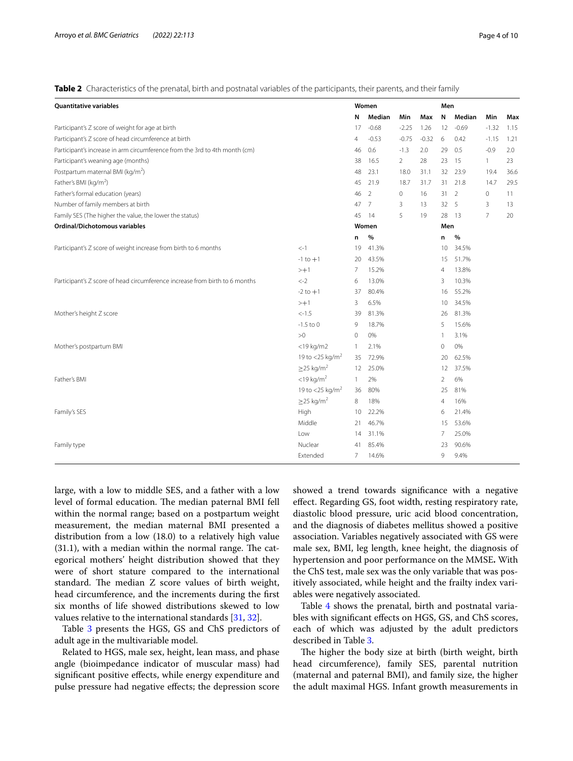<span id="page-3-0"></span>**Table 2** Characteristics of the prenatal, birth and postnatal variables of the participants, their parents, and their family

| <b>Quantitative variables</b>                                               |                             |                | Women   |                | Men     |     |                |                |      |
|-----------------------------------------------------------------------------|-----------------------------|----------------|---------|----------------|---------|-----|----------------|----------------|------|
|                                                                             |                             | N              | Median  | Min            | Max     | N   | Median         | Min            | Max  |
| Participant's Z score of weight for age at birth                            |                             | 17             | $-0.68$ | $-2.25$        | 1.26    | 12  | $-0.69$        | $-1.32$        | 1.15 |
| Participant's Z score of head circumference at birth                        |                             | 4              | $-0.53$ | $-0.75$        | $-0.32$ | 6   | 0.42           | $-1.15$        | 1.21 |
| Participant's increase in arm circumference from the 3rd to 4th month (cm)  |                             | 46             | 0.6     | $-1.3$         | 2.0     | 29  | 0.5            | $-0.9$         | 2.0  |
| Participant's weaning age (months)                                          |                             | 38             | 16.5    | $\overline{2}$ | 28      | 23  | 15             | $\mathbf{1}$   | 23   |
| Postpartum maternal BMI (kg/m <sup>2</sup> )                                |                             | 48             | 23.1    | 18.0           | 31.1    | 32  | 23.9           | 19.4           | 36.6 |
| Father's BMI (kg/m <sup>2</sup> )                                           |                             | 45             | 21.9    | 18.7           | 31.7    | 31  | 21.8           | 14.7           | 29.5 |
| Father's formal education (years)                                           |                             | 46             | 2       | $\circ$        | 16      | 31  | $\overline{2}$ | $\circ$        | 11   |
| Number of family members at birth                                           |                             | 47             | 7       | 3              | 13      | 32  | 5              | 3              | 13   |
| Family SES (The higher the value, the lower the status)                     |                             | 45             | 14      | 5              | 19      | 28  | 13             | $\overline{7}$ | 20   |
| <b>Ordinal/Dichotomous variables</b>                                        |                             |                | Women   |                |         | Men |                |                |      |
|                                                                             |                             | n              | $\%$    |                |         | n   | %              |                |      |
| Participant's Z score of weight increase from birth to 6 months             | $\lt$ -1                    | 19             | 41.3%   |                |         | 10  | 34.5%          |                |      |
|                                                                             | $-1$ to $+1$                | 20             | 43.5%   |                |         | 15  | 51.7%          |                |      |
|                                                                             | $> +1$                      | $\overline{7}$ | 15.2%   |                |         | 4   | 13.8%          |                |      |
| Participant's Z score of head circumference increase from birth to 6 months | $<-2$                       | 6              | 13.0%   |                |         | 3   | 10.3%          |                |      |
|                                                                             | $-2$ to $+1$                | 37             | 80.4%   |                |         | 16  | 55.2%          |                |      |
|                                                                             | $> +1$                      | 3              | 6.5%    |                |         | 10  | 34.5%          |                |      |
| Mother's height Z score                                                     | $< -1.5$                    | 39             | 81.3%   |                |         | 26  | 81.3%          |                |      |
|                                                                             | $-1.5$ to 0                 | 9              | 18.7%   |                |         | 5   | 15.6%          |                |      |
|                                                                             | >0                          | $\circ$        | 0%      |                |         | 1   | 3.1%           |                |      |
| Mother's postpartum BMI                                                     | $<$ 19 kg/m2                | $\overline{1}$ | 2.1%    |                |         | 0   | 0%             |                |      |
|                                                                             | 19 to <25 kg/m <sup>2</sup> | 35             | 72.9%   |                |         | 20  | 62.5%          |                |      |
|                                                                             | $\geq$ 25 kg/m <sup>2</sup> | 12             | 25.0%   |                |         | 12  | 37.5%          |                |      |
| Father's BMI                                                                | $<$ 19 kg/m <sup>2</sup>    | $\mathbf{1}$   | 2%      |                |         | 2   | 6%             |                |      |
|                                                                             | 19 to <25 kg/m <sup>2</sup> | 36             | 80%     |                |         | 25  | 81%            |                |      |
|                                                                             | $\geq$ 25 kg/m <sup>2</sup> | 8              | 18%     |                |         | 4   | 16%            |                |      |
| Family's SES                                                                | High                        | 10             | 22.2%   |                |         | 6   | 21.4%          |                |      |
|                                                                             | Middle                      | 21             | 46.7%   |                |         | 15  | 53.6%          |                |      |
|                                                                             | Low                         | 14             | 31.1%   |                |         | 7   | 25.0%          |                |      |
| Family type                                                                 | Nuclear                     | 41             | 85.4%   |                |         | 23  | 90.6%          |                |      |
|                                                                             | Extended                    | 7              | 14.6%   |                |         | 9   | 9.4%           |                |      |

large, with a low to middle SES, and a father with a low level of formal education. The median paternal BMI fell within the normal range; based on a postpartum weight measurement, the median maternal BMI presented a distribution from a low (18.0) to a relatively high value  $(31.1)$ , with a median within the normal range. The categorical mothers' height distribution showed that they were of short stature compared to the international standard. The median Z score values of birth weight, head circumference, and the increments during the frst six months of life showed distributions skewed to low values relative to the international standards [[31,](#page-8-28) [32](#page-8-29)].

Table [3](#page-4-0) presents the HGS, GS and ChS predictors of adult age in the multivariable model.

Related to HGS, male sex, height, lean mass, and phase angle (bioimpedance indicator of muscular mass) had signifcant positive efects, while energy expenditure and pulse pressure had negative efects; the depression score showed a trend towards signifcance with a negative efect. Regarding GS, foot width, resting respiratory rate, diastolic blood pressure, uric acid blood concentration, and the diagnosis of diabetes mellitus showed a positive association. Variables negatively associated with GS were male sex, BMI, leg length, knee height, the diagnosis of hypertension and poor performance on the MMSE**.** With the ChS test, male sex was the only variable that was positively associated, while height and the frailty index variables were negatively associated.

Table [4](#page-5-0) shows the prenatal, birth and postnatal variables with signifcant efects on HGS, GS, and ChS scores, each of which was adjusted by the adult predictors described in Table [3.](#page-4-0)

The higher the body size at birth (birth weight, birth head circumference), family SES, parental nutrition (maternal and paternal BMI), and family size, the higher the adult maximal HGS. Infant growth measurements in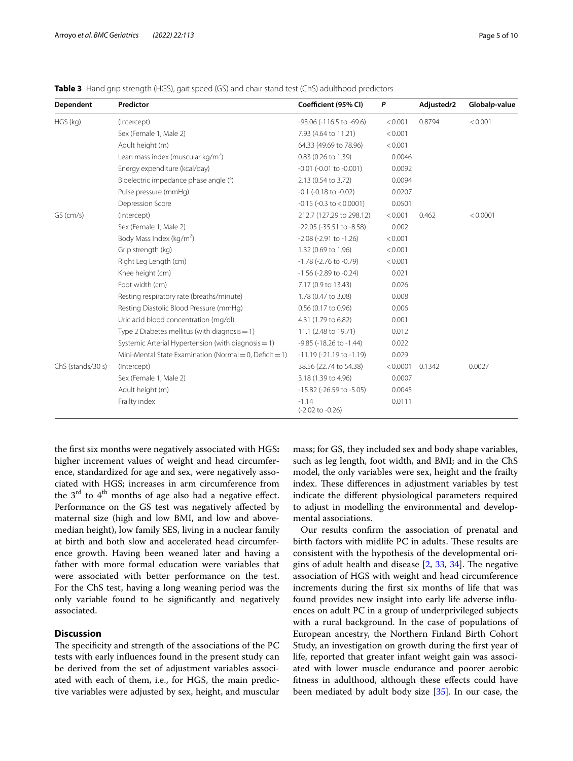<span id="page-4-0"></span>**Table 3** Hand grip strength (HGS), gait speed (GS) and chair stand test (ChS) adulthood predictors

| Dependent         | Predictor                                               | Coefficient (95% CI)             | P        | Adjustedr2 | Globalp-value |
|-------------------|---------------------------------------------------------|----------------------------------|----------|------------|---------------|
| HGS (kg)          | (Intercept)                                             | -93.06 (-116.5 to -69.6)         | < 0.001  | 0.8794     | < 0.001       |
|                   | Sex (Female 1, Male 2)                                  | 7.93 (4.64 to 11.21)             | < 0.001  |            |               |
|                   | Adult height (m)                                        | 64.33 (49.69 to 78.96)           | < 0.001  |            |               |
|                   | Lean mass index (muscular $kg/m2$ )                     | 0.83 (0.26 to 1.39)              | 0.0046   |            |               |
|                   | Energy expenditure (kcal/day)                           | $-0.01$ ( $-0.01$ to $-0.001$ )  | 0.0092   |            |               |
|                   | Bioelectric impedance phase angle (°)                   | 2.13 (0.54 to 3.72)              | 0.0094   |            |               |
|                   | Pulse pressure (mmHg)                                   | $-0.1$ ( $-0.18$ to $-0.02$ )    | 0.0207   |            |               |
|                   | Depression Score                                        | $-0.15$ ( $-0.3$ to $< 0.0001$ ) | 0.0501   |            |               |
| $GS$ (cm/s)       | (Intercept)                                             | 212.7 (127.29 to 298.12)         | < 0.001  | 0.462      | < 0.0001      |
|                   | Sex (Female 1, Male 2)                                  | -22.05 (-35.51 to -8.58)         | 0.002    |            |               |
|                   | Body Mass Index (kg/m <sup>2</sup> )                    | $-2.08$ ( $-2.91$ to $-1.26$ )   | < 0.001  |            |               |
|                   | Grip strength (kg)                                      | 1.32 (0.69 to 1.96)              | < 0.001  |            |               |
|                   | Right Leg Length (cm)                                   | $-1.78$ ( $-2.76$ to $-0.79$ )   | < 0.001  |            |               |
|                   | Knee height (cm)                                        | $-1.56$ ( $-2.89$ to $-0.24$ )   | 0.021    |            |               |
|                   | Foot width (cm)                                         | 7.17 (0.9 to 13.43)              | 0.026    |            |               |
|                   | Resting respiratory rate (breaths/minute)               | 1.78 (0.47 to 3.08)              | 0.008    |            |               |
|                   | Resting Diastolic Blood Pressure (mmHg)                 | $0.56$ (0.17 to 0.96)            | 0.006    |            |               |
|                   | Uric acid blood concentration (mg/dl)                   | 4.31 (1.79 to 6.82)              | 0.001    |            |               |
|                   | Type 2 Diabetes mellitus (with diagnosis $= 1$ )        | 11.1 (2.48 to 19.71)             | 0.012    |            |               |
|                   | Systemic Arterial Hypertension (with diagnosis = 1)     | $-9.85$ ( $-18.26$ to $-1.44$ )  | 0.022    |            |               |
|                   | Mini-Mental State Examination (Normal = 0, Deficit = 1) | $-11.19(-21.19$ to $-1.19$ )     | 0.029    |            |               |
| ChS (stands/30 s) | (Intercept)                                             | 38.56 (22.74 to 54.38)           | < 0.0001 | 0.1342     | 0.0027        |
|                   | Sex (Female 1, Male 2)                                  | 3.18 (1.39 to 4.96)              | 0.0007   |            |               |
|                   | Adult height (m)                                        | -15.82 (-26.59 to -5.05)         | 0.0045   |            |               |
|                   | Frailty index                                           | $-1.14$<br>(-2.02 to -0.26)      | 0.0111   |            |               |

the frst six months were negatively associated with HGS**:** higher increment values of weight and head circumference, standardized for age and sex, were negatively associated with HGS; increases in arm circumference from the  $3<sup>rd</sup>$  to  $4<sup>th</sup>$  months of age also had a negative effect. Performance on the GS test was negatively afected by maternal size (high and low BMI, and low and abovemedian height), low family SES, living in a nuclear family at birth and both slow and accelerated head circumference growth. Having been weaned later and having a father with more formal education were variables that were associated with better performance on the test. For the ChS test, having a long weaning period was the only variable found to be signifcantly and negatively associated.

# **Discussion**

The specificity and strength of the associations of the PC tests with early infuences found in the present study can be derived from the set of adjustment variables associated with each of them, i.e., for HGS, the main predictive variables were adjusted by sex, height, and muscular mass; for GS, they included sex and body shape variables, such as leg length, foot width, and BMI; and in the ChS model, the only variables were sex, height and the frailty index. These differences in adjustment variables by test indicate the diferent physiological parameters required to adjust in modelling the environmental and developmental associations.

Our results confrm the association of prenatal and birth factors with midlife PC in adults. These results are consistent with the hypothesis of the developmental origins of adult health and disease  $[2, 33, 34]$  $[2, 33, 34]$  $[2, 33, 34]$  $[2, 33, 34]$  $[2, 33, 34]$ . The negative association of HGS with weight and head circumference increments during the frst six months of life that was found provides new insight into early life adverse infuences on adult PC in a group of underprivileged subjects with a rural background. In the case of populations of European ancestry, the Northern Finland Birth Cohort Study, an investigation on growth during the frst year of life, reported that greater infant weight gain was associated with lower muscle endurance and poorer aerobic ftness in adulthood, although these efects could have been mediated by adult body size [\[35](#page-8-32)]. In our case, the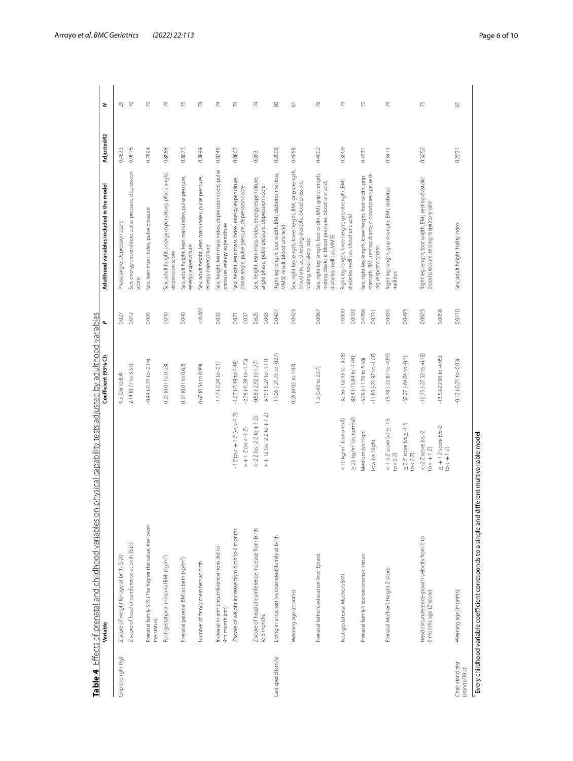<span id="page-5-0"></span>

|                                   | Table 4 Effects of prenatal and childhood variables on physical capability tests adjusted by adulthood variables<br>Variable |                                                                                   | Coefficient (95% CI)                                     | ٩                | Adulthood variables included in the model                                                                                                 | AdjustedR2 | z                        |
|-----------------------------------|------------------------------------------------------------------------------------------------------------------------------|-----------------------------------------------------------------------------------|----------------------------------------------------------|------------------|-------------------------------------------------------------------------------------------------------------------------------------------|------------|--------------------------|
|                                   |                                                                                                                              |                                                                                   |                                                          |                  |                                                                                                                                           |            |                          |
| Grip strength (kg)                | Z score of weight for age at birth (S.D.)                                                                                    |                                                                                   | 4.5 (0.6 to 8.4)                                         | 0.027            | Phase angle, Depression score                                                                                                             | 0.4633     | $^{29}$                  |
|                                   | Z score of head circumference at birth (S.D.)                                                                                |                                                                                   | 2.14 (0.77 to 3.51)                                      | 0.012            | Sex, energy expenditure, pulse pressure, depression<br>score                                                                              | 0.9916     | $\approx$                |
|                                   | Prenatal family SES (The higher the value, the lower<br>the status)                                                          |                                                                                   | $-0.44 (-0.75$ to $-0.14$ )                              | 0.005            | Sex, lean mass index, pulse pressure                                                                                                      | 0.7894     | 2                        |
|                                   | Post-gestational maternal BMI (kg/m <sup>2</sup> )                                                                           |                                                                                   | 0.27 (0.01 to 0.53)                                      | 0.040            | Sex, adult height, energy expenditure, phase angle,<br>depression score                                                                   | 0.8688     | 79                       |
|                                   | Prenatal paternal BMI at birth (kg/m <sup>2</sup> )                                                                          |                                                                                   | 0.31 (0.01 to 0.62)                                      | 0.040            | Sex, adult height, lean mass index, pulse pressure,<br>energy expenditure                                                                 | 0.8673     | 75                       |
|                                   | Number of family members at birth                                                                                            |                                                                                   | 0.67 (0.34 to 0.99)                                      | 0.001            | Sex, adult height, lean mass index, pulse pressure,<br>energy expenditure                                                                 | 0.8899     | 78                       |
|                                   | Increase in arm circumference from 3rd to<br>4th month (cm)                                                                  |                                                                                   | $-1.17(-2.24$ to $-0.1)$                                 | 0.033            | Sex, height, lean mass index, depression score, pulse<br>pressure, energy expenditure                                                     | 0.8749     | 74                       |
|                                   | Z score of weight increase from birth to 6 months                                                                            | $-1$ Z to $< +1$ Z (vs $<-1$ Z)<br>$> + 12$ (vs < -1 Z)                           | $-2.78(-5.39$ to $-1.75$ )<br>$-1.67(-3.49$ to $1.49)$   | 0.037<br>0.071   | Sex, height, lean mass index, energy expenditure,<br>phase angle, pulse pressure, depression score                                        | 0.8867     | $\overline{\mathcal{M}}$ |
|                                   | Z score of head circumference increase from birth<br>to 6 months                                                             | $> +12$ (vs -2 Z to +1 Z)<br>$<-2Z$ (vs $-2Z$ to $+1Z$ )                          | $-3.19(-5.27$ to $-1.11$ )<br>$-0.58(-2.92$ to $1.77)$   | 0.625<br>0.003   | Sex, height, lean mass index, energy expenditure,<br>angle phase, pulse pressure, depression score                                        | 0.893      |                          |
| Gait speed (cm/s)                 | Living in a nuclear (vs extended) family at birth                                                                            |                                                                                   | $-11.06 (-21.75 to -0.37)$                               | 0.0427           | Right leg length, foot width, BMI, diabetes mellitus,<br>MMSE result, blood uric acid                                                     | 0.2906     | $\rm 80$                 |
|                                   | Weaning age (months)                                                                                                         |                                                                                   | 0.55(0.02 to 1.07)                                       | 0.0423           | Sex, right leg length, knee height, BMI, grip strength,<br>blood uric acid, resting diastolic blood pressure,<br>resting respiratory rate | 0.4958     | 5                        |
|                                   | Prenatal father's education level (years)                                                                                    |                                                                                   | 1.5 (0.43 to 2.57)                                       | 0.0067           | Sex, right leg length, foot width, BMI, grip strength,<br>resting diastolic blood pressure, blood uric acid,<br>diabetes mellitus, MMSE   | 0.4902     | $\frac{1}{6}$            |
|                                   | Post-gestational Mother's BMI                                                                                                | ≥ 25 kg/m <sup>2</sup> (vs normal)<br><19 kg/m <sup>2</sup> (vs normal)           | $-32.86 (-62.43 to -3.28)$<br>$-8.64(-15.84 to -1.44)$   | 0.0300<br>0.0193 | Right leg length, knee height, grip strength, BMI,<br>diabetes mellitus, blood uric acid                                                  | 0.3968     | 79                       |
|                                   | Prenatal family's socioeconomic status                                                                                       | Medium (vs High)<br>Low (vs High)                                                 | $-11.83 (-21.97 to -1.68)$<br>$-3.09(-11.76$ to $5.58$ ) | 0.4786<br>0.0231 | strength, BMI, resting diastolic blood pressure, rest-<br>Sex, right leg length, knee height, foot width, grip<br>ing respiratory rate    | 0.4331     | $\mathcal{L}$            |
|                                   | Prenatal Mother's Height Z score                                                                                             | $<-1.5$ Z score (vs $\ge -1.5$<br>$\geq 0$ Z score (vs $\geq -1.5$<br>to $< 0$ Z) | $-13.78 (-22.87 to -4.69)$<br>$-32.07 (-64.04 to -0.1)$  | 0.0035<br>0.0493 | Right leg length, grip strength, BMI, diabetes<br>mellitus                                                                                | 0.3415     | 29                       |
|                                   | Head circumference growth velocity from 0 to<br>6 months age (Z score)                                                       | $<-2$ Z score (vs $-2$<br>to $< +12$<br>$to < 0$ $Z$ )                            | $-16.75 (-27.32 to -6.18)$                               | 0.0023           | Right leg length, foot width, BMI, resting diastolic<br>blood pressure, resting respiratory rate                                          | 0.3252     | 75                       |
|                                   |                                                                                                                              | $\ge +1$ Z score (vs -2<br>to $< +1$ Z)                                           | $-13.5(-22.96$ to $-4.05$                                | 0.0058           |                                                                                                                                           |            |                          |
| Chair stand test<br>(stands/30 s) | Weaning age (months)                                                                                                         |                                                                                   | $-0.12(-0.21$ to $-0.03$ )                               | 0.0110           | Sex, adult height, frailty index                                                                                                          | 0.2721     | 5                        |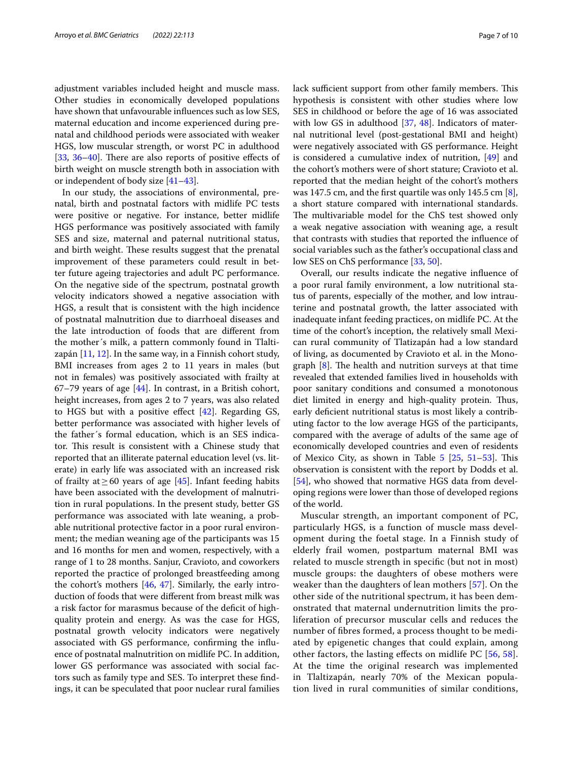adjustment variables included height and muscle mass. Other studies in economically developed populations have shown that unfavourable infuences such as low SES, maternal education and income experienced during prenatal and childhood periods were associated with weaker HGS, low muscular strength, or worst PC in adulthood [[33,](#page-8-30)  $36-40$  $36-40$ ]. There are also reports of positive effects of birth weight on muscle strength both in association with or independent of body size [[41](#page-9-1)[–43](#page-9-2)].

In our study, the associations of environmental, prenatal, birth and postnatal factors with midlife PC tests were positive or negative. For instance, better midlife HGS performance was positively associated with family SES and size, maternal and paternal nutritional status, and birth weight. These results suggest that the prenatal improvement of these parameters could result in better future ageing trajectories and adult PC performance. On the negative side of the spectrum, postnatal growth velocity indicators showed a negative association with HGS, a result that is consistent with the high incidence of postnatal malnutrition due to diarrhoeal diseases and the late introduction of foods that are diferent from the mother´s milk, a pattern commonly found in Tlaltizapán [\[11](#page-8-34), [12](#page-8-9)]. In the same way, in a Finnish cohort study, BMI increases from ages 2 to 11 years in males (but not in females) was positively associated with frailty at 67–79 years of age [\[44](#page-9-3)]. In contrast, in a British cohort, height increases, from ages 2 to 7 years, was also related to HGS but with a positive effect  $[42]$  $[42]$ . Regarding GS, better performance was associated with higher levels of the father´s formal education, which is an SES indicator. This result is consistent with a Chinese study that reported that an illiterate paternal education level (vs. literate) in early life was associated with an increased risk of frailty at ≥60 years of age [\[45](#page-9-5)]. Infant feeding habits have been associated with the development of malnutrition in rural populations. In the present study, better GS performance was associated with late weaning, a probable nutritional protective factor in a poor rural environment; the median weaning age of the participants was 15 and 16 months for men and women, respectively, with a range of 1 to 28 months. Sanjur, Cravioto, and coworkers reported the practice of prolonged breastfeeding among the cohort's mothers  $[46, 47]$  $[46, 47]$  $[46, 47]$ . Similarly, the early introduction of foods that were diferent from breast milk was a risk factor for marasmus because of the defcit of highquality protein and energy. As was the case for HGS, postnatal growth velocity indicators were negatively associated with GS performance, confrming the infuence of postnatal malnutrition on midlife PC. In addition, lower GS performance was associated with social factors such as family type and SES. To interpret these fndings, it can be speculated that poor nuclear rural families lack sufficient support from other family members. This hypothesis is consistent with other studies where low SES in childhood or before the age of 16 was associated with low GS in adulthood [[37](#page-8-35), [48\]](#page-9-8). Indicators of maternal nutritional level (post-gestational BMI and height) were negatively associated with GS performance. Height is considered a cumulative index of nutrition,  $[49]$  $[49]$  and the cohort's mothers were of short stature; Cravioto et al. reported that the median height of the cohort's mothers was 147.5 cm, and the frst quartile was only 145.5 cm [\[8](#page-8-7)], a short stature compared with international standards. The multivariable model for the ChS test showed only a weak negative association with weaning age, a result that contrasts with studies that reported the infuence of social variables such as the father's occupational class and low SES on ChS performance [\[33,](#page-8-30) [50](#page-9-10)].

Overall, our results indicate the negative infuence of a poor rural family environment, a low nutritional status of parents, especially of the mother, and low intrauterine and postnatal growth, the latter associated with inadequate infant feeding practices, on midlife PC. At the time of the cohort's inception, the relatively small Mexican rural community of Tlatizapán had a low standard of living, as documented by Cravioto et al. in the Monograph  $[8]$  $[8]$ . The health and nutrition surveys at that time revealed that extended families lived in households with poor sanitary conditions and consumed a monotonous diet limited in energy and high-quality protein. Thus, early defcient nutritional status is most likely a contributing factor to the low average HGS of the participants, compared with the average of adults of the same age of economically developed countries and even of residents of Mexico City, as shown in Table  $5$   $[25, 51-53]$  $[25, 51-53]$  $[25, 51-53]$  $[25, 51-53]$  $[25, 51-53]$ . This observation is consistent with the report by Dodds et al. [[54\]](#page-9-13), who showed that normative HGS data from developing regions were lower than those of developed regions of the world.

Muscular strength, an important component of PC, particularly HGS, is a function of muscle mass development during the foetal stage. In a Finnish study of elderly frail women, postpartum maternal BMI was related to muscle strength in specifc (but not in most) muscle groups: the daughters of obese mothers were weaker than the daughters of lean mothers [[57](#page-9-14)]. On the other side of the nutritional spectrum, it has been demonstrated that maternal undernutrition limits the proliferation of precursor muscular cells and reduces the number of fbres formed, a process thought to be mediated by epigenetic changes that could explain, among other factors, the lasting efects on midlife PC [\[56,](#page-9-15) [58](#page-9-16)]. At the time the original research was implemented in Tlaltizapán, nearly 70% of the Mexican population lived in rural communities of similar conditions,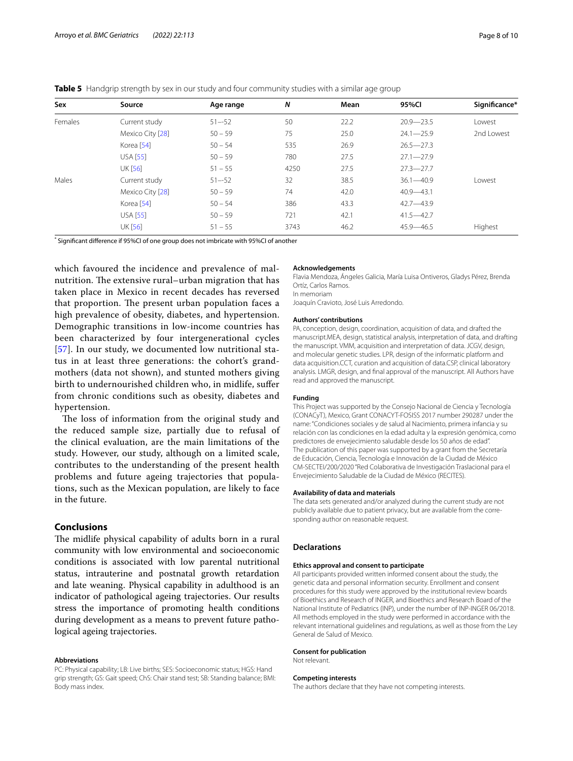| Sex     | Source           | Age range | N    | Mean | 95%CI         | Significance* |
|---------|------------------|-----------|------|------|---------------|---------------|
| Females | Current study    | $51 - 52$ | 50   | 22.2 | $20.9 - 23.5$ | Lowest        |
|         | Mexico City [28] | $50 - 59$ | 75   | 25.0 | $24.1 - 25.9$ | 2nd Lowest    |
|         | Korea [54]       | $50 - 54$ | 535  | 26.9 | $26.5 - 27.3$ |               |
|         | <b>USA [55]</b>  | $50 - 59$ | 780  | 27.5 | $27.1 - 27.9$ |               |
|         | <b>UK [56]</b>   | $51 - 55$ | 4250 | 27.5 | $27.3 - 27.7$ |               |
| Males   | Current study    | $51 - 52$ | 32   | 38.5 | $36.1 - 40.9$ | Lowest        |
|         | Mexico City [28] | $50 - 59$ | 74   | 42.0 | $40.9 - 43.1$ |               |
|         | Korea [54]       | $50 - 54$ | 386  | 43.3 | $42.7 - 43.9$ |               |
|         | <b>USA [55]</b>  | $50 - 59$ | 721  | 42.1 | $41.5 - 42.7$ |               |
|         | <b>UK [56]</b>   | $51 - 55$ | 3743 | 46.2 | $45.9 - 46.5$ | Highest       |

<span id="page-7-0"></span>**Table 5** Handgrip strength by sex in our study and four community studies with a similar age group

\* Signifcant diference if 95%CI of one group does not imbricate with 95%CI of another

which favoured the incidence and prevalence of malnutrition. The extensive rural–urban migration that has taken place in Mexico in recent decades has reversed that proportion. The present urban population faces a high prevalence of obesity, diabetes, and hypertension. Demographic transitions in low-income countries has been characterized by four intergenerational cycles [[57](#page-9-14)]. In our study, we documented low nutritional status in at least three generations: the cohort's grandmothers (data not shown), and stunted mothers giving birth to undernourished children who, in midlife, sufer from chronic conditions such as obesity, diabetes and hypertension.

The loss of information from the original study and the reduced sample size, partially due to refusal of the clinical evaluation, are the main limitations of the study. However, our study, although on a limited scale, contributes to the understanding of the present health problems and future ageing trajectories that populations, such as the Mexican population, are likely to face in the future.

# **Conclusions**

The midlife physical capability of adults born in a rural community with low environmental and socioeconomic conditions is associated with low parental nutritional status, intrauterine and postnatal growth retardation and late weaning. Physical capability in adulthood is an indicator of pathological ageing trajectories. Our results stress the importance of promoting health conditions during development as a means to prevent future pathological ageing trajectories.

#### **Abbreviations**

PC: Physical capability; LB: Live births; SES: Socioeconomic status; HGS: Hand grip strength; GS: Gait speed; ChS: Chair stand test; SB: Standing balance; BMI: Body mass index.

#### **Acknowledgements**

Flavia Mendoza, Ángeles Galicia, María Luisa Ontiveros, Gladys Pérez, Brenda Ortíz, Carlos Ramos. In memoriam

Joaquín Cravioto, José Luis Arredondo.

#### **Authors' contributions**

PA, conception, design, coordination, acquisition of data, and drafted the manuscript.MEA, design, statistical analysis, interpretation of data, and drafting the manuscript. VMM, acquisition and interpretation of data. JCGV, design, and molecular genetic studies. LPR, design of the informatic platform and data acquisition.CCT, curation and acquisition of data.CSP, clinical laboratory analysis. LMGR, design, and fnal approval of the manuscript. All Authors have read and approved the manuscript.

#### **Funding**

This Project was supported by the Consejo Nacional de Ciencia y Tecnología (CONACyT), Mexico, Grant CONACYT-FOSISS 2017 number 290287 under the name: "Condiciones sociales y de salud al Nacimiento, primera infancia y su relación con las condiciones en la edad adulta y la expresión genómica, como predictores de envejecimiento saludable desde los 50 años de edad". The publication of this paper was supported by a grant from the Secretaría de Educación, Ciencia, Tecnología e Innovación de la Ciudad de México CM-SECTEI/200/2020 "Red Colaborativa de Investigación Traslacional para el Envejecimiento Saludable de la Ciudad de México (RECITES).

#### **Availability of data and materials**

The data sets generated and/or analyzed during the current study are not publicly available due to patient privacy, but are available from the corresponding author on reasonable request.

#### **Declarations**

#### **Ethics approval and consent to participate**

All participants provided written informed consent about the study, the genetic data and personal information security. Enrollment and consent procedures for this study were approved by the institutional review boards of Bioethics and Research of INGER, and Bioethics and Research Board of the National Institute of Pediatrics (INP), under the number of INP-INGER 06/2018. All methods employed in the study were performed in accordance with the relevant international guidelines and regulations, as well as those from the Ley General de Salud of Mexico.

#### **Consent for publication**

Not relevant.

#### **Competing interests**

The authors declare that they have not competing interests.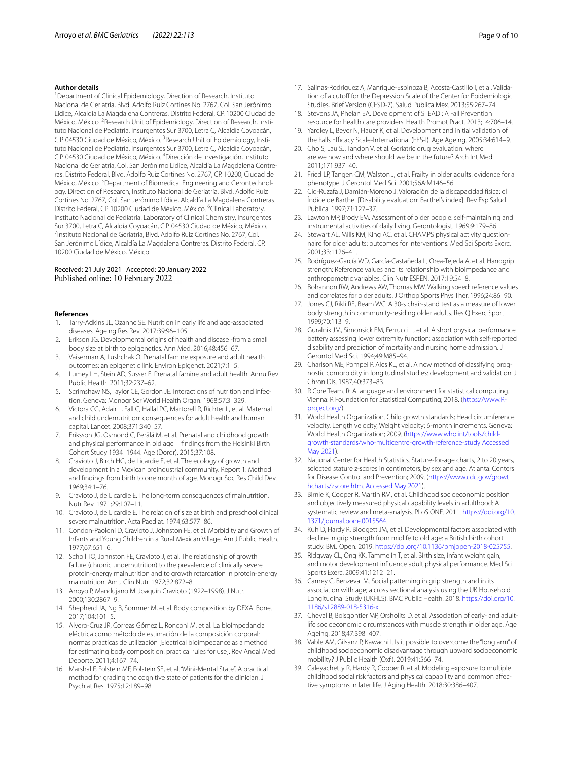#### **Author details**

<sup>1</sup> Department of Clinical Epidemiology, Direction of Research, Instituto Nacional de Geriatría, Blvd. Adolfo Ruiz Cortines No. 2767, Col. San Jerónimo Lídice, Alcaldía La Magdalena Contreras. Distrito Federal, CP. 10200 Ciudad de México, México. <sup>2</sup> Research Unit of Epidemiology, Direction of Research, Instituto Nacional de Pediatría, Insurgentes Sur 3700, Letra C, Alcaldía Coyoacán, C.P. 04530 Ciudad de México, México. <sup>3</sup> Research Unit of Epidemiology, Instituto Nacional de Pediatría, Insurgentes Sur 3700, Letra C, Alcaldía Coyoacán, C.P. 04530 Ciudad de México, México. 4 Dirección de Investigación, Instituto Nacional de Geriatría, Col. San Jerónimo Lídice, Alcaldía La Magdalena Contreras. Distrito Federal, Blvd. Adolfo Ruiz Cortines No. 2767, CP. 10200, Ciudad de México, México. <sup>5</sup> Department of Biomedical Engineering and Gerontechnology. Direction of Research, Instituto Nacional de Geriatría, Blvd. Adolfo Ruiz Cortines No. 2767, Col. San Jerónimo Lídice, Alcaldía La Magdalena Contreras. Distrito Federal, CP. 10200 Ciudad de México, México. <sup>6</sup>Clinical Laboratory, Instituto Nacional de Pediatría. Laboratory of Clinical Chemistry, Insurgentes Sur 3700, Letra C, Alcaldía Coyoacán, C.P. 04530 Ciudad de México, México. 7 <sup>7</sup>Instituto Nacional de Geriatría, Blvd. Adolfo Ruiz Cortines No. 2767, Col. San Jerónimo Lídice, Alcaldía La Magdalena Contreras. Distrito Federal, CP. 10200 Ciudad de México, México.

# Received: 21 July 2021 Accepted: 20 January 2022 Published online: 10 February 2022

#### **References**

- <span id="page-8-0"></span>Tarry-Adkins JL, Ozanne SE. Nutrition in early life and age-associated diseases. Ageing Res Rev. 2017;39:96–105.
- <span id="page-8-1"></span>2. Erikson JG. Developmental origins of health and disease -from a small body size at birth to epigenetics. Ann Med. 2016;48:456–67.
- <span id="page-8-2"></span>3. Vaiserman A, Lushchak O. Prenatal famine exposure and adult health outcomes: an epigenetic link. Environ Epigenet. 2021;7:1–5.
- <span id="page-8-3"></span>4. Lumey LH, Stein AD, Susser E. Prenatal famine and adult health. Annu Rev Public Health. 2011;32:237–62.
- <span id="page-8-4"></span>5. Scrimshaw NS, Taylor CE, Gordon JE. Interactions of nutrition and infection. Geneva: Monogr Ser World Health Organ. 1968;57:3–329.
- <span id="page-8-5"></span>6. Victora CG, Adair L, Fall C, Hallal PC, Martorell R, Richter L, et al. Maternal and child undernutrition: consequences for adult health and human capital. Lancet. 2008;371:340–57.
- <span id="page-8-6"></span>7. Eriksson JG, Osmond C, Perälä M, et al. Prenatal and childhood growth and physical performance in old age—fndings from the Helsinki Birth Cohort Study 1934–1944. Age (Dordr). 2015;37:108.
- <span id="page-8-7"></span>8. Cravioto J, Birch HG, de Licardie E, et al. The ecology of growth and development in a Mexican preindustrial community. Report 1: Method and fndings from birth to one month of age. Monogr Soc Res Child Dev. 1969;34:1–76.
- <span id="page-8-8"></span>9. Cravioto J, de Licardie E. The long-term consequences of malnutrition. Nutr Rev. 1971;29:107–11.
- 10. Cravioto J, de Licardie E. The relation of size at birth and preschool clinical severe malnutrition. Acta Paediat. 1974;63:577–86.
- <span id="page-8-34"></span>11. Condon-Paoloni D, Cravioto J, Johnston FE, et al. Morbidity and Growth of Infants and Young Children in a Rural Mexican Village. Am J Public Health. 1977;67:651–6.
- <span id="page-8-9"></span>12. Scholl TO, Johnston FE, Cravioto J, et al. The relationship of growth failure (chronic undernutrition) to the prevalence of clinically severe protein-energy malnutrition and to growth retardation in protein-energy malnutrition. Am J Clin Nutr. 1972;32:872–8.
- <span id="page-8-10"></span>13. Arroyo P, Mandujano M. Joaquín Cravioto (1922–1998). J Nutr. 2000;130:2867–9.
- <span id="page-8-11"></span>14. Shepherd JA, Ng B, Sommer M, et al. Body composition by DEXA. Bone. 2017;104:101–5.
- <span id="page-8-12"></span>15. Alvero-Cruz JR, Correas Gómez L, Ronconi M, et al. La bioimpedancia eléctrica como método de estimación de la composición corporal: normas prácticas de utilización [Electrical bioimpedance as a method for estimating body composition: practical rules for use]. Rev Andal Med Deporte. 2011;4:167–74.
- <span id="page-8-13"></span>16. Marshal F, Folstein MF, Folstein SE, et al. "Mini-Mental State". A practical method for grading the cognitive state of patients for the clinician. J Psychiat Res. 1975;12:189–98.
- <span id="page-8-14"></span>17. Salinas-Rodríguez A, Manrique-Espinoza B, Acosta-Castillo I, et al. Validation of a cutoff for the Depression Scale of the Center for Epidemiologic Studies, Brief Version (CESD-7). Salud Publica Mex. 2013;55:267–74.
- <span id="page-8-15"></span>18. Stevens JA, Phelan EA. Development of STEADI: A Fall Prevention resource for health care providers. Health Promot Pract. 2013;14:706–14.
- <span id="page-8-16"></span>19. Yardley L, Beyer N, Hauer K, et al. Development and initial validation of the Falls Efficacy Scale-International (FES-I). Age Ageing. 2005;34:614-9.
- <span id="page-8-17"></span>20. Cho S, Lau SJ, Tandon V, et al. Geriatric drug evaluation: where are we now and where should we be in the future? Arch Int Med. 2011;171:937–40.
- <span id="page-8-18"></span>21. Fried LP, Tangen CM, Walston J, et al. Frailty in older adults: evidence for a phenotype. J Gerontol Med Sci. 2001;56A:M146–56.
- <span id="page-8-19"></span>22. Cid-Ruzafa J, Damián-Moreno J. Valoración de la discapacidad física: el Índice de Barthel [Disability evaluation: Barthel's index]. Rev Esp Salud Publica. 1997;71:127–37.
- <span id="page-8-20"></span>23. Lawton MP, Brody EM. Assessment of older people: self-maintaining and instrumental activities of daily living. Gerontologist. 1969;9:179–86.
- <span id="page-8-21"></span>24. Stewart AL, Mills KM, King AC, et al. CHAMPS physical activity questionnaire for older adults: outcomes for interventions. Med Sci Sports Exerc. 2001;33:1126–41.
- <span id="page-8-22"></span>25. Rodríguez-García WD, García-Castañeda L, Orea-Tejeda A, et al. Handgrip strength: Reference values and its relationship with bioimpedance and anthropometric variables. Clin Nutr ESPEN. 2017;19:54–8.
- <span id="page-8-23"></span>26. Bohannon RW, Andrews AW, Thomas MW. Walking speed: reference values and correlates for older adults. J Orthop Sports Phys Ther. 1996;24:86–90.
- <span id="page-8-24"></span>27. Jones CJ, Rikli RE, Beam WC. A 30-s chair-stand test as a measure of lower body strength in community-residing older adults. Res Q Exerc Sport. 1999;70:113–9.
- <span id="page-8-25"></span>28. Guralnik JM, Simonsick EM, Ferrucci L, et al. A short physical performance battery assessing lower extremity function: association with self-reported disability and prediction of mortality and nursing home admission. J Gerontol Med Sci. 1994;49:M85–94.
- <span id="page-8-26"></span>29. Charlson ME, Pompei P, Ales KL, et al. A new method of classifying prognostic comorbidity in longitudinal studies: development and validation. J Chron Dis. 1987;40:373–83.
- <span id="page-8-27"></span>30. R Core Team. R: A language and environment for statistical computing. Vienna: R Foundation for Statistical Computing; 2018. [\(https://www.R](https://www.R-project.org/) [project.org/](https://www.R-project.org/)).
- <span id="page-8-28"></span>31. World Health Organization. Child growth standards; Head circumference velocity, Length velocity, Weight velocity; 6-month increments. Geneva: World Health Organization; 2009. ([https://www.who.int/tools/child](https://www.who.int/tools/child-growth-standards/who-multicentre-growth-reference-study) [growth-standards/who-multicentre-growth-reference-study Accessed](https://www.who.int/tools/child-growth-standards/who-multicentre-growth-reference-study)  [May 2021\)](https://www.who.int/tools/child-growth-standards/who-multicentre-growth-reference-study).
- <span id="page-8-29"></span>32. National Center for Health Statistics. Stature-for-age charts, 2 to 20 years, selected stature z-scores in centimeters, by sex and age. Atlanta: Centers for Disease Control and Prevention; 2009. ([https://www.cdc.gov/growt](https://www.cdc.gov/growthcharts/zscore.htm.) [hcharts/zscore.htm. Accessed May 2021\)](https://www.cdc.gov/growthcharts/zscore.htm.).
- <span id="page-8-30"></span>33. Birnie K, Cooper R, Martin RM, et al. Childhood socioeconomic position and objectively measured physical capability levels in adulthood: A systematic review and meta-analysis. PLoS ONE. 2011. [https://doi.org/10.](https://doi.org/10.1371/journal.pone.0015564) [1371/journal.pone.0015564.](https://doi.org/10.1371/journal.pone.0015564)
- <span id="page-8-31"></span>34. Kuh D, Hardy R, Blodgett JM, et al. Developmental factors associated with decline in grip strength from midlife to old age: a British birth cohort study. BMJ Open. 2019. [https://doi.org/10.1136/bmjopen-2018-025755.](https://doi.org/10.1136/bmjopen-2018-025755)
- <span id="page-8-32"></span>35. Ridgway CL, Ong KK, Tammelin T, et al. Birth size, infant weight gain, and motor development infuence adult physical performance. Med Sci Sports Exerc. 2009;41:1212–21.
- <span id="page-8-33"></span>36. Carney C, Benzeval M. Social patterning in grip strength and in its association with age; a cross sectional analysis using the UK Household Longitudinal Study (UKHLS). BMC Public Health. 2018. [https://doi.org/10.](https://doi.org/10.1186/s12889-018-5316-x) [1186/s12889-018-5316-x.](https://doi.org/10.1186/s12889-018-5316-x)
- <span id="page-8-35"></span>37. Cheval B, Boisgontier MP, Orsholits D, et al. Association of early- and adultlife socioeconomic circumstances with muscle strength in older age. Age Ageing. 2018;47:398–407.
- 38. Vable AM, Gilsanz P, Kawachi I. Is it possible to overcome the "long arm" of childhood socioeconomic disadvantage through upward socioeconomic mobility? J Public Health (Oxf ). 2019;41:566–74.
- 39. Caleyachetty R, Hardy R, Cooper R, et al. Modeling exposure to multiple childhood social risk factors and physical capability and common affective symptoms in later life. J Aging Health. 2018;30:386–407.